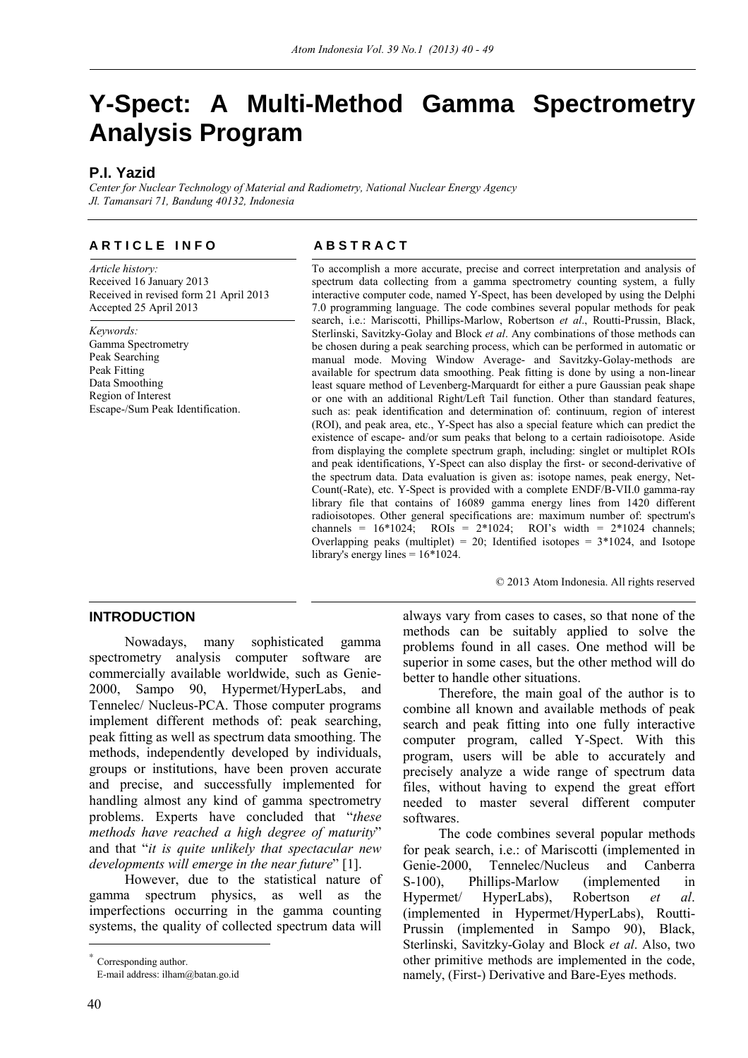# **Y-Spect: A Multi-Method Gamma Spectrometry Analysis Program**

# **P.I. Yazid**

*Center for Nuclear Technology of Material and Radiometry, National Nuclear Energy Agency Jl. Tamansari 71, Bandung 40132, Indonesia* 

# **ARTICLE INFO** ABSTRACT

*Article history:*  Received 16 January 2013 Received in revised form 21 April 2013 Accepted 25 April 2013

*Keywords:*  Gamma Spectrometry Peak Searching Peak Fitting Data Smoothing Region of Interest Escape-/Sum Peak Identification.

To accomplish a more accurate, precise and correct interpretation and analysis of spectrum data collecting from a gamma spectrometry counting system, a fully interactive computer code, named Y-Spect, has been developed by using the Delphi 7.0 programming language. The code combines several popular methods for peak search, i.e.: Mariscotti, Phillips-Marlow, Robertson *et al*., Routti-Prussin, Black, Sterlinski, Savitzky-Golay and Block *et al*. Any combinations of those methods can be chosen during a peak searching process, which can be performed in automatic or manual mode. Moving Window Average- and Savitzky-Golay-methods are available for spectrum data smoothing. Peak fitting is done by using a non-linear least square method of Levenberg-Marquardt for either a pure Gaussian peak shape or one with an additional Right/Left Tail function. Other than standard features, such as: peak identification and determination of: continuum, region of interest (ROI), and peak area, etc., Y-Spect has also a special feature which can predict the existence of escape- and/or sum peaks that belong to a certain radioisotope. Aside from displaying the complete spectrum graph, including: singlet or multiplet ROIs and peak identifications, Y-Spect can also display the first- or second-derivative of the spectrum data. Data evaluation is given as: isotope names, peak energy, Net-Count(-Rate), etc. Y-Spect is provided with a complete ENDF/B-VII.0 gamma-ray library file that contains of 16089 gamma energy lines from 1420 different radioisotopes. Other general specifications are: maximum number of: spectrum's channels =  $16*1024$ ; ROIs =  $2*1024$ ; ROI's width =  $2*1024$  channels; Overlapping peaks (multiplet) = 20; Identified isotopes =  $3*1024$ , and Isotope library's energy lines  $= 16*1024$ .

© 2013 Atom Indonesia. All rights reserved

# **INTRODUCTION**<sup>∗</sup>

Nowadays, many sophisticated gamma spectrometry analysis computer software are commercially available worldwide, such as Genie-2000, Sampo 90, Hypermet/HyperLabs, and Tennelec/ Nucleus-PCA. Those computer programs implement different methods of: peak searching, peak fitting as well as spectrum data smoothing. The methods, independently developed by individuals, groups or institutions, have been proven accurate and precise, and successfully implemented for handling almost any kind of gamma spectrometry problems. Experts have concluded that "*these methods have reached a high degree of maturity*" and that "*it is quite unlikely that spectacular new developments will emerge in the near future*" [1].

However, due to the statistical nature of gamma spectrum physics, as well as the imperfections occurring in the gamma counting systems, the quality of collected spectrum data will

always vary from cases to cases, so that none of the methods can be suitably applied to solve the problems found in all cases. One method will be superior in some cases, but the other method will do better to handle other situations.

Therefore, the main goal of the author is to combine all known and available methods of peak search and peak fitting into one fully interactive computer program, called Y-Spect. With this program, users will be able to accurately and precisely analyze a wide range of spectrum data files, without having to expend the great effort needed to master several different computer softwares.

The code combines several popular methods for peak search, i.e.: of Mariscotti (implemented in Genie-2000, Tennelec/Nucleus and Canberra S-100), Phillips-Marlow (implemented in Hypermet/ HyperLabs), Robertson *et al*. (implemented in Hypermet/HyperLabs), Routti-Prussin (implemented in Sampo 90), Black, Sterlinski, Savitzky-Golay and Block *et al*. Also, two other primitive methods are implemented in the code, namely, (First-) Derivative and Bare-Eyes methods.

 $\overline{a}$ 

Corresponding author.

E-mail address: ilham@batan.go.id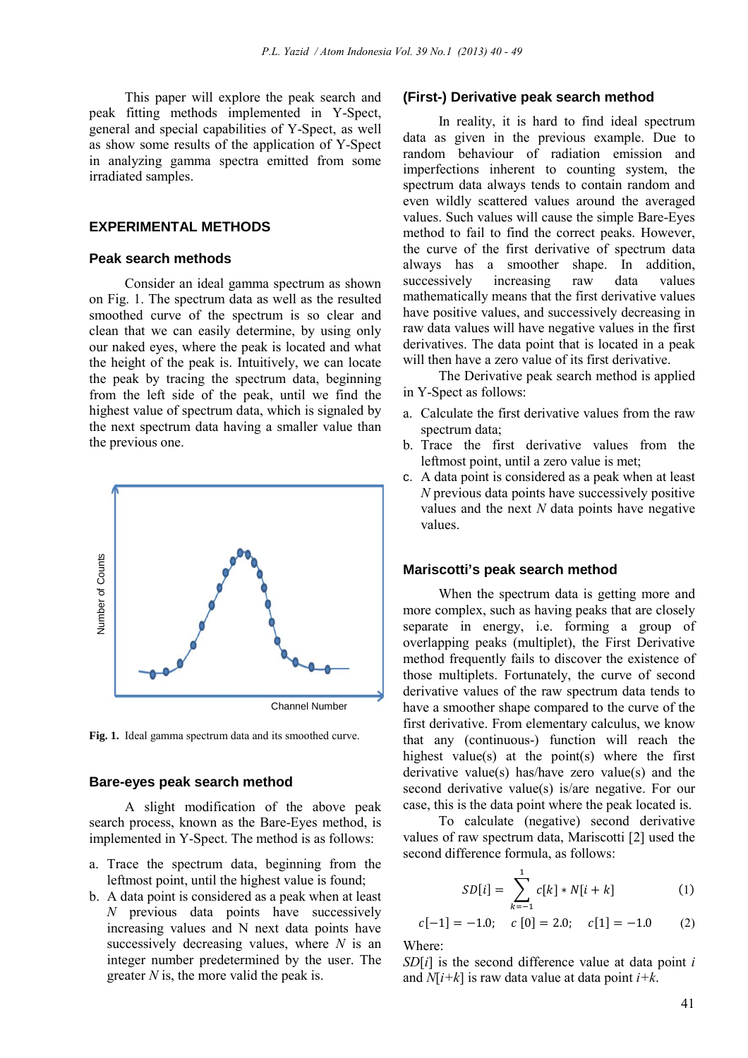This paper will explore the peak search and peak fitting methods implemented in Y-Spect, general and special capabilities of Y-Spect, as well as show some results of the application of Y-Spect in analyzing gamma spectra emitted from some irradiated samples.

# **EXPERIMENTAL METHODS**

### **Peak search methods**

Consider an ideal gamma spectrum as shown on Fig. 1. The spectrum data as well as the resulted smoothed curve of the spectrum is so clear and clean that we can easily determine, by using only our naked eyes, where the peak is located and what the height of the peak is. Intuitively, we can locate the peak by tracing the spectrum data, beginning from the left side of the peak, until we find the highest value of spectrum data, which is signaled by the next spectrum data having a smaller value than the previous one.



**Fig. 1.** Ideal gamma spectrum data and its smoothed curve.

#### **Bare-eyes peak search method**

A slight modification of the above peak search process, known as the Bare-Eyes method, is implemented in Y-Spect. The method is as follows:

- a. Trace the spectrum data, beginning from the leftmost point, until the highest value is found;
- b. A data point is considered as a peak when at least *N* previous data points have successively increasing values and N next data points have successively decreasing values, where *N* is an integer number predetermined by the user. The greater *N* is, the more valid the peak is.

#### **(First-) Derivative peak search method**

In reality, it is hard to find ideal spectrum data as given in the previous example. Due to random behaviour of radiation emission and imperfections inherent to counting system, the spectrum data always tends to contain random and even wildly scattered values around the averaged values. Such values will cause the simple Bare-Eyes method to fail to find the correct peaks. However, the curve of the first derivative of spectrum data always has a smoother shape. In addition, successively increasing raw data values mathematically means that the first derivative values have positive values, and successively decreasing in raw data values will have negative values in the first derivatives. The data point that is located in a peak will then have a zero value of its first derivative.

The Derivative peak search method is applied in Y-Spect as follows:

- a. Calculate the first derivative values from the raw spectrum data;
- b. Trace the first derivative values from the leftmost point, until a zero value is met;
- c. A data point is considered as a peak when at least *N* previous data points have successively positive values and the next *N* data points have negative values.

#### **Mariscotti's peak search method**

When the spectrum data is getting more and more complex, such as having peaks that are closely separate in energy, i.e. forming a group of overlapping peaks (multiplet), the First Derivative method frequently fails to discover the existence of those multiplets. Fortunately, the curve of second derivative values of the raw spectrum data tends to have a smoother shape compared to the curve of the first derivative. From elementary calculus, we know that any (continuous-) function will reach the highest value(s) at the point(s) where the first derivative value(s) has/have zero value(s) and the second derivative value(s) is/are negative. For our case, this is the data point where the peak located is.

To calculate (negative) second derivative values of raw spectrum data, Mariscotti [2] used the second difference formula, as follows:

$$
SD[i] = \sum_{k=-1}^{1} c[k] * N[i+k]
$$
 (1)

$$
c[-1] = -1.0;
$$
  $c[0] = 2.0;$   $c[1] = -1.0$  (2)

Where:

*SD*[*i*] is the second difference value at data point *i* and  $N[i+k]$  is raw data value at data point  $i+k$ .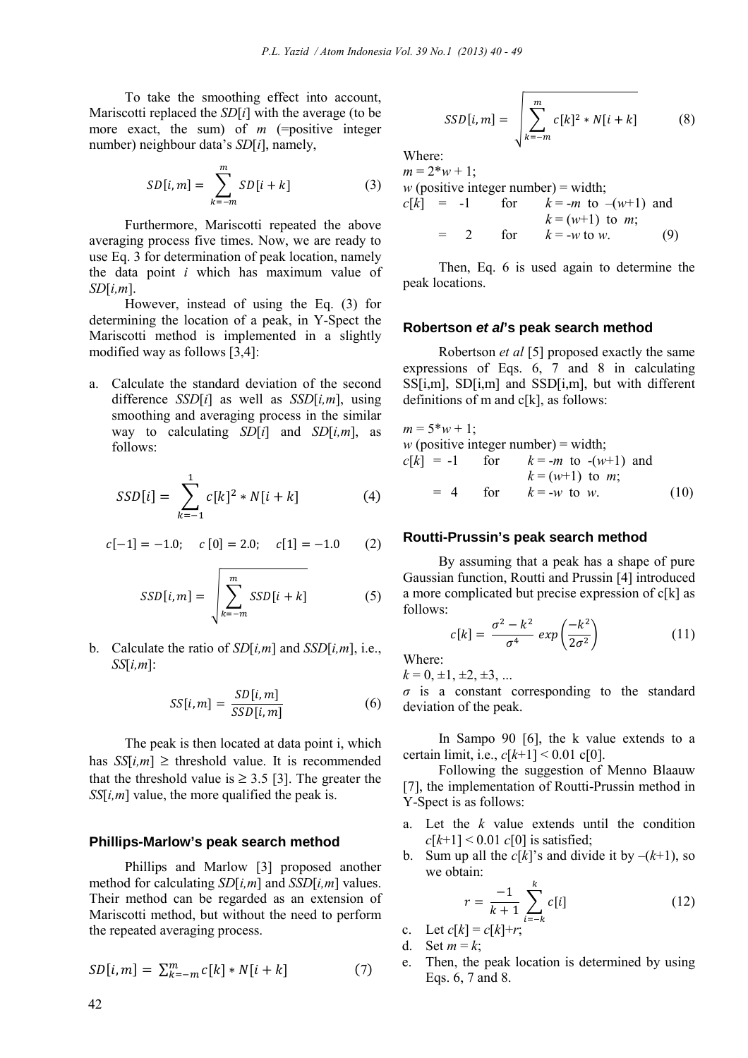To take the smoothing effect into account, Mariscotti replaced the *SD*[*i*] with the average (to be more exact, the sum) of *m* (=positive integer number) neighbour data's *SD*[*i*], namely,

$$
SD[i, m] = \sum_{k=-m}^{m} SD[i+k]
$$
 (3)

Furthermore, Mariscotti repeated the above averaging process five times. Now, we are ready to use Eq. 3 for determination of peak location, namely the data point *i* which has maximum value of *SD*[*i,m*].

However, instead of using the Eq. (3) for determining the location of a peak, in Y-Spect the Mariscotti method is implemented in a slightly modified way as follows [3,4]:

a. Calculate the standard deviation of the second difference *SSD*[*i*] as well as *SSD*[*i,m*], using smoothing and averaging process in the similar way to calculating *SD*[*i*] and *SD*[*i,m*], as follows:

$$
SSD[i] = \sum_{k=-1}^{1} c[k]^2 * N[i+k]
$$
 (4)

$$
c[-1] = -1.0;
$$
  $c[0] = 2.0;$   $c[1] = -1.0$  (2)

$$
SSD[i,m] = \sqrt{\sum_{k=-m}^{m} SSD[i+k]}
$$
 (5)

b. Calculate the ratio of *SD*[*i,m*] and *SSD*[*i,m*], i.e., *SS*[*i,m*]:

$$
SS[i, m] = \frac{SD[i, m]}{SSD[i, m]}
$$
 (6)

The peak is then located at data point i, which has  $SS[i,m] \geq$  threshold value. It is recommended that the threshold value is  $\geq$  3.5 [3]. The greater the *SS*[*i,m*] value, the more qualified the peak is.

#### **Phillips-Marlow's peak search method**

Phillips and Marlow [3] proposed another method for calculating *SD*[*i,m*] and *SSD*[*i,m*] values. Their method can be regarded as an extension of Mariscotti method, but without the need to perform the repeated averaging process.

$$
SD[i, m] = \sum_{k=-m}^{m} c[k] * N[i+k]
$$
 (7)

$$
SSD[i, m] = \sqrt{\sum_{k=-m}^{m} c[k]^2 * N[i+k]}
$$
 (8)

Where:

 $m = 2 \cdot w + 1$ ; *w* (positive integer number) = width;

$$
c[k] = -1
$$
 for  $k = -m$  to  $-(w+1)$  and  
\n $k = (w+1)$  to m;  
\n $= 2$  for  $k = -w$  to w. (9)

Then, Eq. 6 is used again to determine the peak locations.

#### **Robertson** *et al***'s peak search method**

Robertson *et al* [5] proposed exactly the same expressions of Eqs. 6, 7 and 8 in calculating SS[i,m], SD[i,m] and SSD[i,m], but with different definitions of m and  $c[k]$ , as follows:

$$
m = 5*w + 1;
$$
  
\n*w* (positive integer number) = width;  
\n*c*[*k*] = -1 for *k* = -*m* to -(w+1) and  
\n*k* = (w+1) to *m*;  
\n= 4 for *k* = -*w* to *w*. (10)

#### **Routti-Prussin's peak search method**

By assuming that a peak has a shape of pure Gaussian function, Routti and Prussin [4] introduced a more complicated but precise expression of  $c[k]$  as follows:

$$
c[k] = \frac{\sigma^2 - k^2}{\sigma^4} \exp\left(\frac{-k^2}{2\sigma^2}\right) \tag{11}
$$

Where:

 $k = 0, \pm 1, \pm 2, \pm 3, \ldots$ 

*σ* is a constant corresponding to the standard deviation of the peak.

In Sampo 90 [6], the k value extends to a certain limit, i.e.,  $c[k+1] \le 0.01$  c[0].

Following the suggestion of Menno Blaauw [7], the implementation of Routti-Prussin method in Y-Spect is as follows:

- a. Let the *k* value extends until the condition  $c[k+1]$  < 0.01  $c[0]$  is satisfied;
- b. Sum up all the  $c[k]$ 's and divide it by  $-(k+1)$ , so we obtain:

$$
r = \frac{-1}{k+1} \sum_{i=-k}^{k} c[i] \tag{12}
$$

c. Let  $c[k] = c[k]+r;$ 

- d. Set  $m = k$ ;
- e. Then, the peak location is determined by using Eqs. 6, 7 and 8.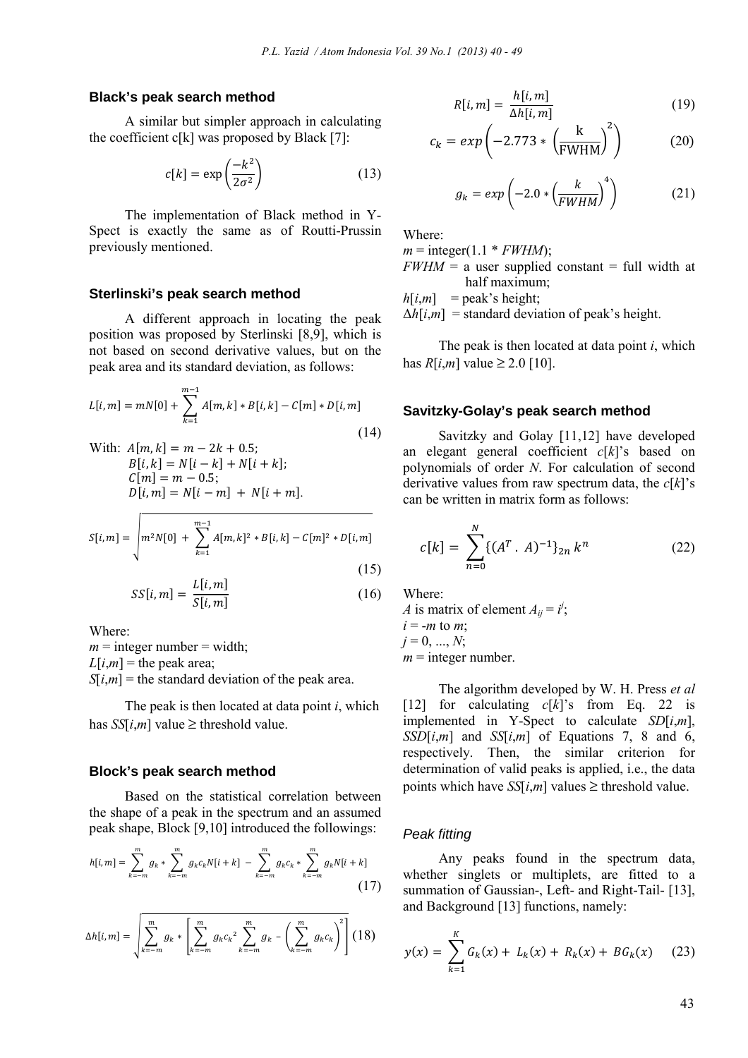# **Black's peak search method**

A similar but simpler approach in calculating the coefficient  $c[k]$  was proposed by Black [7]:

$$
c[k] = \exp\left(\frac{-k^2}{2\sigma^2}\right) \tag{13}
$$

The implementation of Black method in Y-Spect is exactly the same as of Routti-Prussin previously mentioned.

### **Sterlinski's peak search method**

A different approach in locating the peak position was proposed by Sterlinski [8,9], which is not based on second derivative values, but on the peak area and its standard deviation, as follows:

$$
L[i, m] = mN[0] + \sum_{k=1}^{m-1} A[m, k] * B[i, k] - C[m] * D[i, m]
$$
\n(14)

With: 
$$
A[m, k] = m - 2k + 0.5
$$
;  
\n $B[i, k] = N[i - k] + N[i + k]$ ;  
\n $C[m] = m - 0.5$ ;  
\n $D[i, m] = N[i - m] + N[i + m]$ .

$$
S[i, m] = \sqrt{m^2 N[0] + \sum_{k=1}^{m-1} A[m, k]^2 * B[i, k] - C[m]^2 * D[i, m]}
$$
\n(15)

$$
SS[i, m] = \frac{L[i, m]}{S[i, m]}
$$
 (16)

Where:

 $m =$  integer number = width;  $L[i,m]$  = the peak area;  $S[i,m]$  = the standard deviation of the peak area.

The peak is then located at data point *i*, which has  $SS[i,m]$  value  $\geq$  threshold value.

# **Block's peak search method**

Based on the statistical correlation between the shape of a peak in the spectrum and an assumed peak shape, Block [9,10] introduced the followings:

$$
h[i,m] = \sum_{k=-m}^{m} g_k * \sum_{k=-m}^{m} g_k c_k N[i+k] - \sum_{k=-m}^{m} g_k c_k * \sum_{k=-m}^{m} g_k N[i+k]
$$
\n(17)

$$
\Delta h[i,m] = \sqrt{\sum_{k=-m}^{m} g_k * \left[ \sum_{k=-m}^{m} g_k c_k^2 \sum_{k=-m}^{m} g_k - \left( \sum_{k=-m}^{m} g_k c_k \right)^2 \right] (18)}
$$

$$
R[i,m] = \frac{h[i,m]}{\Delta h[i,m]}
$$
 (19)

$$
c_k = exp\left(-2.773 * \left(\frac{k}{FWHM}\right)^2\right) \tag{20}
$$

$$
g_k = exp\left(-2.0 * \left(\frac{k}{FWHM}\right)^4\right) \tag{21}
$$

Where:

 $m =$  integer(1.1 \* *FWHM*);

 $FWHM = a$  user supplied constant = full width at half maximum;

 $h[i,m]$  = peak's height;

 $\Delta h[i,m]$  = standard deviation of peak's height.

The peak is then located at data point *i*, which has *R*[*i*,*m*] value ≥ 2.0 [10].

#### **Savitzky-Golay's peak search method**

Savitzky and Golay [11,12] have developed an elegant general coefficient *c*[*k*]'s based on polynomials of order *N*. For calculation of second derivative values from raw spectrum data, the *c*[*k*]'s can be written in matrix form as follows:

$$
c[k] = \sum_{n=0}^{N} \{ (A^T \cdot A)^{-1} \}_{2n} k^n
$$
 (22)

Where:

*A* is matrix of element  $A_{ij} = i^j$ ;  $i = -m$  to  $m$ ;  $j = 0, ..., N$ ;  $m =$  integer number.

The algorithm developed by W. H. Press *et al*  [12] for calculating  $c[k]$ 's from Eq. 22 is implemented in Y-Spect to calculate *SD*[*i*,*m*],  $SSD[i,m]$  and  $SS[i,m]$  of Equations 7, 8 and 6, respectively. Then, the similar criterion for determination of valid peaks is applied, i.e., the data points which have  $SS[i,m]$  values  $\geq$  threshold value.

#### *Peak fitting*

Any peaks found in the spectrum data, whether singlets or multiplets, are fitted to a summation of Gaussian-, Left- and Right-Tail- [13], and Background [13] functions, namely:

$$
y(x) = \sum_{k=1}^{K} G_k(x) + L_k(x) + R_k(x) + BG_k(x) \quad (23)
$$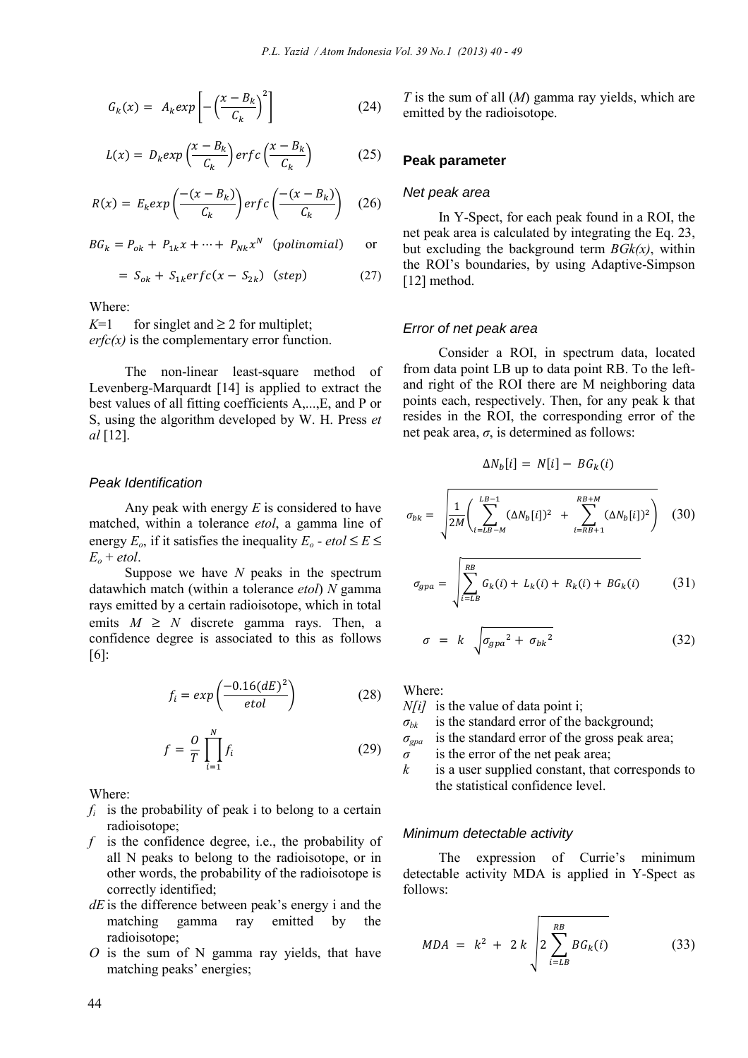$$
G_k(x) = A_k exp\left[-\left(\frac{x - B_k}{C_k}\right)^2\right]
$$
 (24)

$$
L(x) = D_k exp\left(\frac{x - B_k}{C_k}\right) erfc\left(\frac{x - B_k}{C_k}\right) \tag{25}
$$

$$
R(x) = E_k exp\left(\frac{-(x - B_k)}{C_k}\right) erfc\left(\frac{-(x - B_k)}{C_k}\right) \quad (26)
$$

 $BG_k = P_{ok} + P_{1k}x + \cdots + P_{Nk}x^N$  (polinomial) or

$$
= S_{ok} + S_{1k}erfc(x - S_{2k}) \quad (step) \tag{27}
$$

Where:

*K*=1 for singlet and  $\geq$  2 for multiplet;  $erfc(x)$  is the complementary error function.

The non-linear least-square method of Levenberg-Marquardt [14] is applied to extract the best values of all fitting coefficients A,...,E, and P or S, using the algorithm developed by W. H. Press *et al* [12].

#### *Peak Identification*

Any peak with energy *E* is considered to have matched, within a tolerance *etol*, a gamma line of energy  $E_o$ , if it satisfies the inequality  $E_o$  - *etol*  $\le E \le$  $E_o + etol.$ 

Suppose we have *N* peaks in the spectrum datawhich match (within a tolerance *etol*) *N* gamma rays emitted by a certain radioisotope, which in total emits  $M \geq N$  discrete gamma rays. Then, a confidence degree is associated to this as follows [6]:

$$
f_i = exp\left(\frac{-0.16(dE)^2}{etol}\right) \tag{28}
$$

$$
f = \frac{0}{T} \prod_{i=1}^{N} f_i
$$
 (29)

Where:

- $f_i$  is the probability of peak i to belong to a certain radioisotope;
- *f* is the confidence degree, i.e., the probability of all N peaks to belong to the radioisotope, or in other words, the probability of the radioisotope is correctly identified;
- *dE* is the difference between peak's energy i and the matching gamma ray emitted by the radioisotope;
- *O* is the sum of N gamma ray yields, that have matching peaks' energies;

*T* is the sum of all (*M*) gamma ray yields, which are emitted by the radioisotope.

# **Peak parameter**

#### *Net peak area*

In Y-Spect, for each peak found in a ROI, the net peak area is calculated by integrating the Eq. 23, but excluding the background term *BGk(x)*, within the ROI's boundaries, by using Adaptive-Simpson [12] method.

#### *Error of net peak area*

Consider a ROI, in spectrum data, located from data point LB up to data point RB. To the leftand right of the ROI there are M neighboring data points each, respectively. Then, for any peak k that resides in the ROI, the corresponding error of the net peak area,  $\sigma$ , is determined as follows:

$$
\Delta N_b[i] = N[i] - BG_k(i)
$$

$$
\sigma_{bk} = \sqrt{\frac{1}{2M} \left( \sum_{i=LB-M}^{LB-1} (\Delta N_b[i])^2 + \sum_{i=RB+1}^{RB+M} (\Delta N_b[i])^2 \right)}
$$
(30)

$$
\sigma_{gpa} = \sqrt{\sum_{i=L}^{RB} G_k(i) + L_k(i) + R_k(i) + BG_k(i)}
$$
(31)

$$
\sigma = k \sqrt{\sigma_{gpa}^2 + \sigma_{bk}^2}
$$
 (32)

Where:

*N[i]* is the value of data point i;

- $\sigma_{bk}$  is the standard error of the background;
- *σgpa* is the standard error of the gross peak area;

*σ* is the error of the net peak area;

*k* is a user supplied constant, that corresponds to the statistical confidence level.

#### *Minimum detectable activity*

The expression of Currie's minimum detectable activity MDA is applied in Y-Spect as follows:

$$
MDA = k^{2} + 2 k \sqrt{2 \sum_{i=LB}^{RB} BG_{k}(i)}
$$
 (33)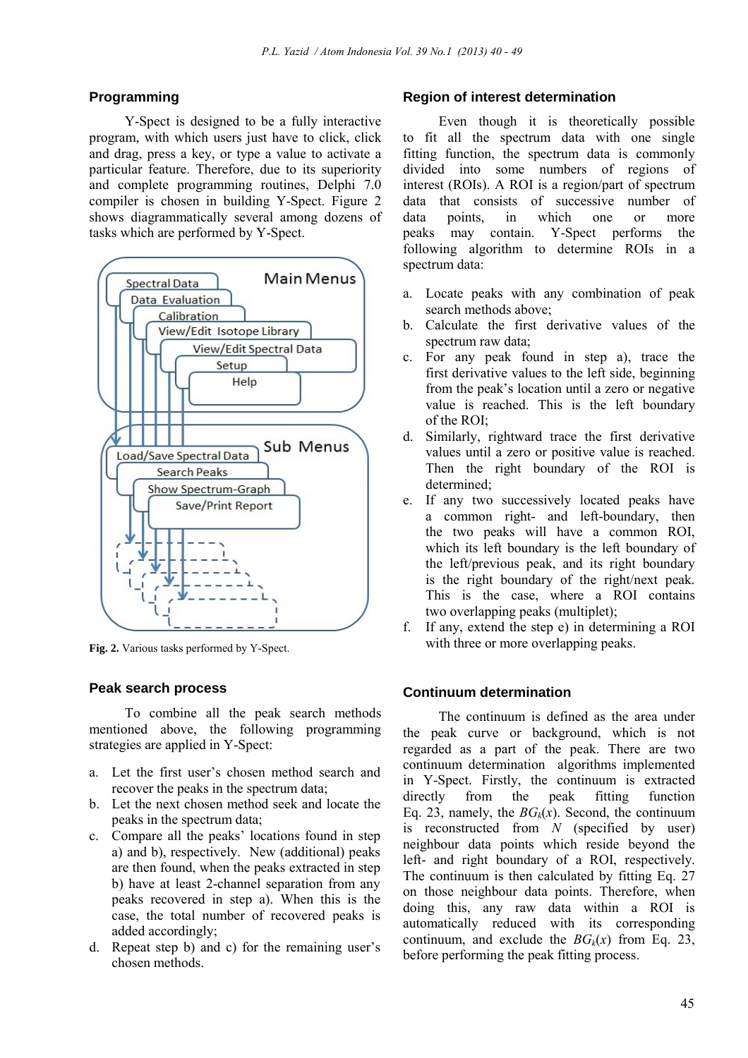# **Programming**

Y-Spect is designed to be a fully interactive program, with which users just have to click, click and drag, press a key, or type a value to activate a particular feature. Therefore, due to its superiority and complete programming routines, Delphi 7.0 compiler is chosen in building Y-Spect. Figure 2 shows diagrammatically several among dozens of tasks which are performed by Y-Spect.



**Fig. 2.** Various tasks performed by Y-Spect.

# **Peak search process**

To combine all the peak search methods mentioned above, the following programming strategies are applied in Y-Spect:

- a. Let the first user's chosen method search and recover the peaks in the spectrum data;
- b. Let the next chosen method seek and locate the peaks in the spectrum data;
- c. Compare all the peaks' locations found in step a) and b), respectively. New (additional) peaks are then found, when the peaks extracted in step b) have at least 2-channel separation from any peaks recovered in step a). When this is the case, the total number of recovered peaks is added accordingly;
- d. Repeat step b) and c) for the remaining user's chosen methods.

# **Region of interest determination**

Even though it is theoretically possible to fit all the spectrum data with one single fitting function, the spectrum data is commonly divided into some numbers of regions of interest (ROIs). A ROI is a region/part of spectrum data that consists of successive number of data points, in which one or more peaks may contain. Y-Spect performs the following algorithm to determine ROIs in a spectrum data:

- a. Locate peaks with any combination of peak search methods above;
- b. Calculate the first derivative values of the spectrum raw data;
- c. For any peak found in step a), trace the first derivative values to the left side, beginning from the peak's location until a zero or negative value is reached. This is the left boundary of the ROI;
- d. Similarly, rightward trace the first derivative values until a zero or positive value is reached. Then the right boundary of the ROI is determined;
- e. If any two successively located peaks have a common right- and left-boundary, then the two peaks will have a common ROI, which its left boundary is the left boundary of the left/previous peak, and its right boundary is the right boundary of the right/next peak. This is the case, where a ROI contains two overlapping peaks (multiplet);
- f. If any, extend the step e) in determining a ROI with three or more overlapping peaks.

#### **Continuum determination**

The continuum is defined as the area under the peak curve or background, which is not regarded as a part of the peak. There are two continuum determination algorithms implemented in Y-Spect. Firstly, the continuum is extracted directly from the peak fitting function Eq. 23, namely, the  $BG_k(x)$ . Second, the continuum is reconstructed from *N* (specified by user) neighbour data points which reside beyond the left- and right boundary of a ROI, respectively. The continuum is then calculated by fitting Eq. 27 on those neighbour data points. Therefore, when doing this, any raw data within a ROI is automatically reduced with its corresponding continuum, and exclude the  $BG_k(x)$  from Eq. 23, before performing the peak fitting process.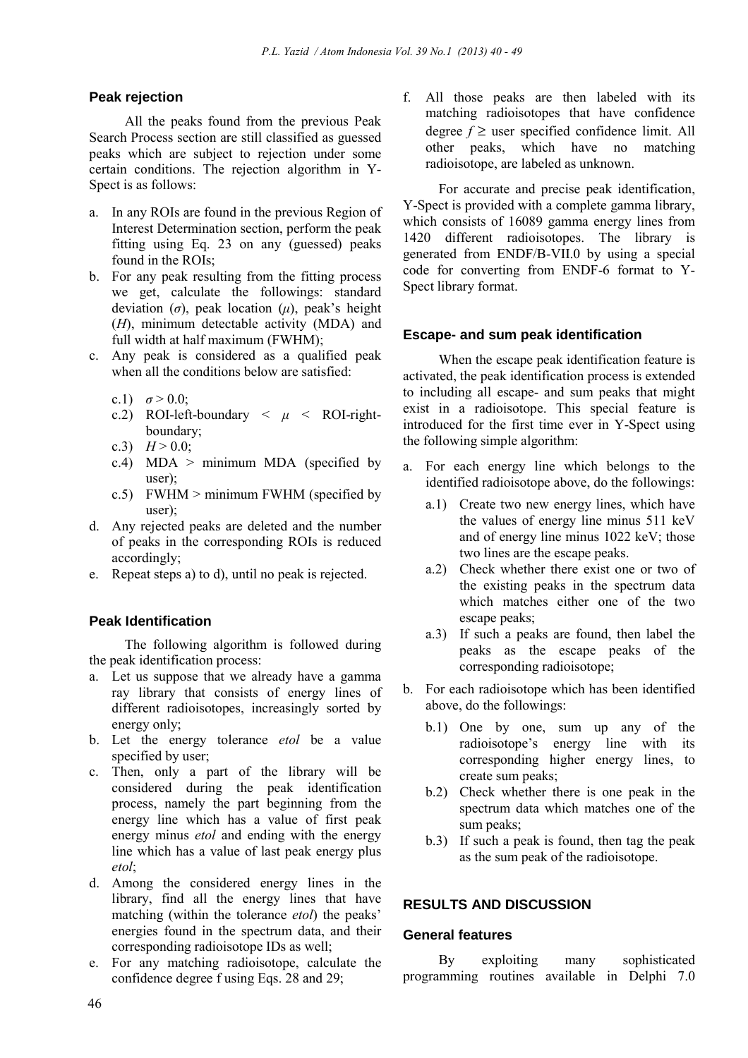# **Peak rejection**

All the peaks found from the previous Peak Search Process section are still classified as guessed peaks which are subject to rejection under some certain conditions. The rejection algorithm in Y-Spect is as follows:

- a. In any ROIs are found in the previous Region of Interest Determination section, perform the peak fitting using Eq. 23 on any (guessed) peaks found in the ROIs;
- b. For any peak resulting from the fitting process we get, calculate the followings: standard deviation (*σ*), peak location (*µ*), peak's height (*H*), minimum detectable activity (MDA) and full width at half maximum (FWHM);
- c. Any peak is considered as a qualified peak when all the conditions below are satisfied:
	- c.1)  $\sigma > 0.0$ :
	- c.2) ROI-left-boundary  $\langle \mu \rangle$  ROI-rightboundary;
	- c.3)  $H > 0.0$ ;
	- c.4) MDA  $>$  minimum MDA (specified by user);
	- c.5) FWHM > minimum FWHM (specified by user);
- d. Any rejected peaks are deleted and the number of peaks in the corresponding ROIs is reduced accordingly;
- e. Repeat steps a) to d), until no peak is rejected.

# **Peak Identification**

The following algorithm is followed during the peak identification process:

- a. Let us suppose that we already have a gamma ray library that consists of energy lines of different radioisotopes, increasingly sorted by energy only;
- b. Let the energy tolerance *etol* be a value specified by user;
- c. Then, only a part of the library will be considered during the peak identification process, namely the part beginning from the energy line which has a value of first peak energy minus *etol* and ending with the energy line which has a value of last peak energy plus *etol*;
- d. Among the considered energy lines in the library, find all the energy lines that have matching (within the tolerance *etol*) the peaks' energies found in the spectrum data, and their corresponding radioisotope IDs as well;
- e. For any matching radioisotope, calculate the confidence degree f using Eqs. 28 and 29;

f. All those peaks are then labeled with its matching radioisotopes that have confidence degree  $f \geq$  user specified confidence limit. All other peaks, which have no matching radioisotope, are labeled as unknown.

For accurate and precise peak identification, Y-Spect is provided with a complete gamma library, which consists of 16089 gamma energy lines from 1420 different radioisotopes. The library is generated from ENDF/B-VII.0 by using a special code for converting from ENDF-6 format to Y-Spect library format.

#### **Escape- and sum peak identification**

When the escape peak identification feature is activated, the peak identification process is extended to including all escape- and sum peaks that might exist in a radioisotope. This special feature is introduced for the first time ever in Y-Spect using the following simple algorithm:

- a. For each energy line which belongs to the identified radioisotope above, do the followings:
	- a.1) Create two new energy lines, which have the values of energy line minus 511 keV and of energy line minus 1022 keV; those two lines are the escape peaks.
	- a.2) Check whether there exist one or two of the existing peaks in the spectrum data which matches either one of the two escape peaks;
	- a.3) If such a peaks are found, then label the peaks as the escape peaks of the corresponding radioisotope;
- b. For each radioisotope which has been identified above, do the followings:
	- b.1) One by one, sum up any of the radioisotope's energy line with its corresponding higher energy lines, to create sum peaks;
	- b.2) Check whether there is one peak in the spectrum data which matches one of the sum peaks;
	- b.3) If such a peak is found, then tag the peak as the sum peak of the radioisotope.

# **RESULTS AND DISCUSSION**

# **General features**

By exploiting many sophisticated programming routines available in Delphi 7.0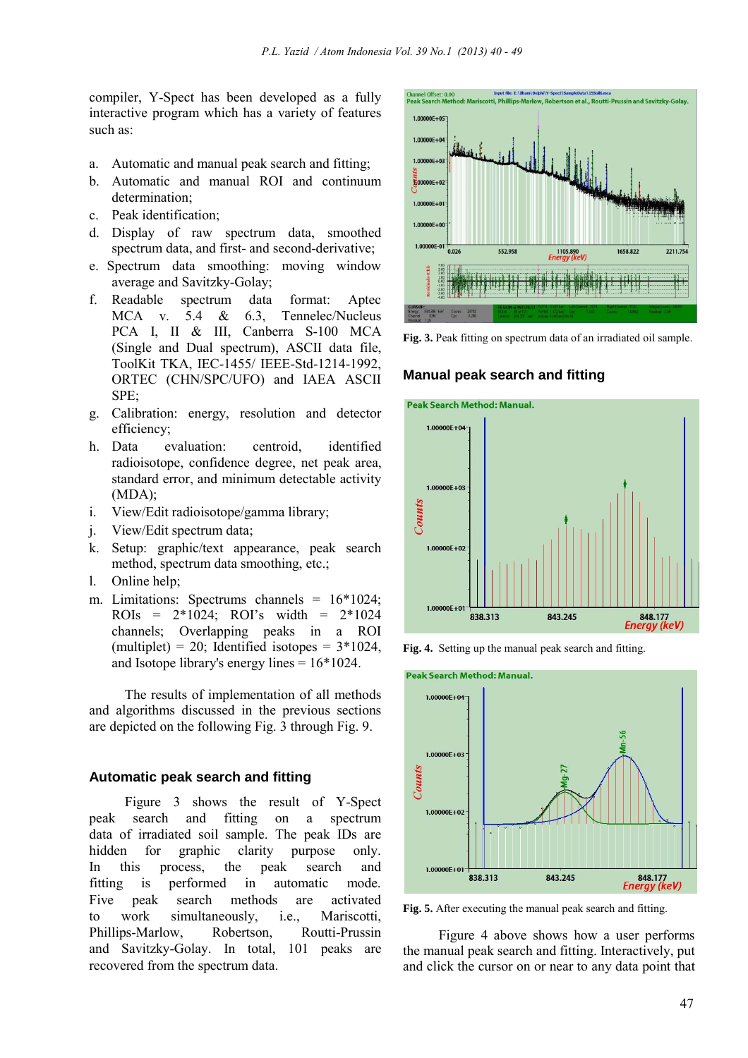compiler, Y-Spect has been developed as a fully interactive program which has a variety of features such as:

- a. Automatic and manual peak search and fitting;
- b. Automatic and manual ROI and continuum determination;
- c. Peak identification;
- d. Display of raw spectrum data, smoothed spectrum data, and first- and second-derivative;
- e. Spectrum data smoothing: moving window average and Savitzky-Golay;
- f. Readable spectrum data format: Aptec MCA v. 5.4 & 6.3, Tennelec/Nucleus PCA I, II & III, Canberra S-100 MCA (Single and Dual spectrum), ASCII data file, ToolKit TKA, IEC-1455/ IEEE-Std-1214-1992, ORTEC (CHN/SPC/UFO) and IAEA ASCII SPE;
- g. Calibration: energy, resolution and detector efficiency;
- h. Data evaluation: centroid, identified radioisotope, confidence degree, net peak area, standard error, and minimum detectable activity (MDA);
- i. View/Edit radioisotope/gamma library;
- j. View/Edit spectrum data;
- k. Setup: graphic/text appearance, peak search method, spectrum data smoothing, etc.;
- l. Online help;
- m. Limitations: Spectrums channels = 16\*1024; ROIs =  $2*1024$ ; ROI's width =  $2*1024$ channels; Overlapping peaks in a ROI (multiplet) = 20; Identified isotopes =  $3*1024$ , and Isotope library's energy lines = 16\*1024.

The results of implementation of all methods and algorithms discussed in the previous sections are depicted on the following Fig. 3 through Fig. 9.

# **Automatic peak search and fitting**

Figure 3 shows the result of Y-Spect peak search and fitting on a spectrum data of irradiated soil sample. The peak IDs are hidden for graphic clarity purpose only. In this process, the peak search and fitting is performed in automatic mode. Five peak search methods are activated to work simultaneously, i.e., Mariscotti, Phillips-Marlow, Robertson, Routti-Prussin and Savitzky-Golay. In total, 101 peaks are recovered from the spectrum data.



**Fig. 3.** Peak fitting on spectrum data of an irradiated oil sample.

#### **Manual peak search and fitting**







**Fig. 5.** After executing the manual peak search and fitting.

Figure 4 above shows how a user performs the manual peak search and fitting. Interactively, put and click the cursor on or near to any data point that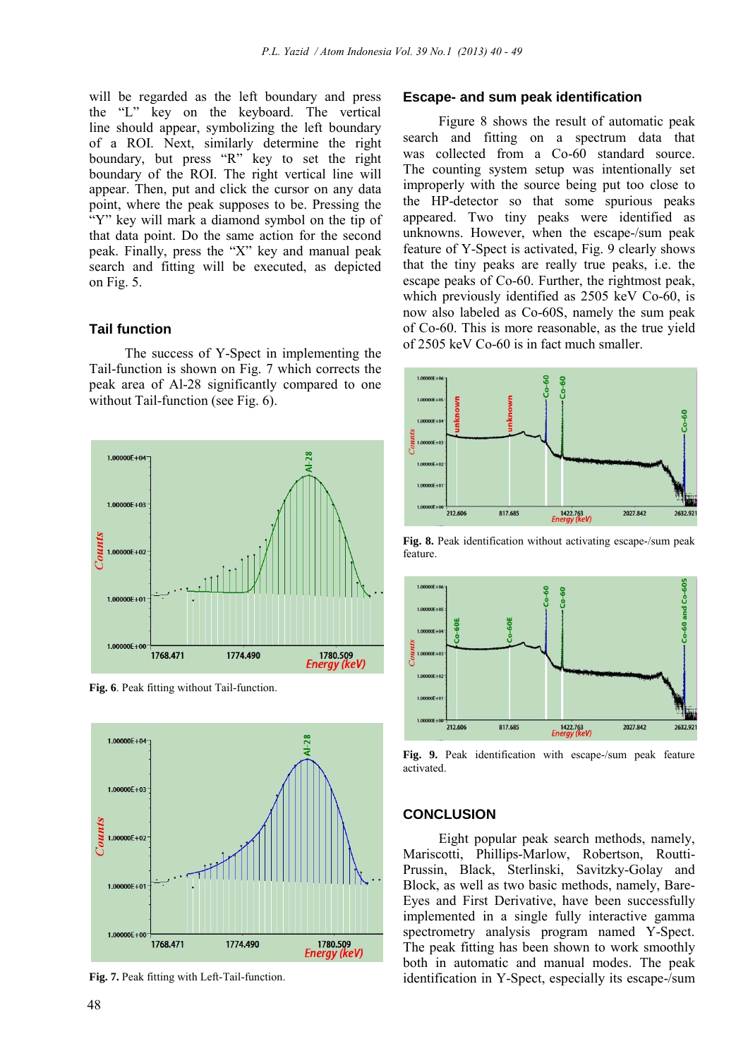will be regarded as the left boundary and press the "L" key on the keyboard. The vertical line should appear, symbolizing the left boundary of a ROI. Next, similarly determine the right boundary, but press "R" key to set the right boundary of the ROI. The right vertical line will appear. Then, put and click the cursor on any data point, where the peak supposes to be. Pressing the "Y" key will mark a diamond symbol on the tip of that data point. Do the same action for the second peak. Finally, press the "X" key and manual peak search and fitting will be executed, as depicted on Fig. 5.

#### **Tail function**

The success of Y-Spect in implementing the Tail-function is shown on Fig. 7 which corrects the peak area of Al-28 significantly compared to one without Tail-function (see Fig. 6).



**Fig. 6**. Peak fitting without Tail-function.



**Fig. 7.** Peak fitting with Left-Tail-function.

#### **Escape- and sum peak identification**

Figure 8 shows the result of automatic peak search and fitting on a spectrum data that was collected from a Co-60 standard source. The counting system setup was intentionally set improperly with the source being put too close to the HP-detector so that some spurious peaks appeared. Two tiny peaks were identified as unknowns. However, when the escape-/sum peak feature of Y-Spect is activated, Fig. 9 clearly shows that the tiny peaks are really true peaks, i.e. the escape peaks of Co-60. Further, the rightmost peak, which previously identified as 2505 keV Co-60, is now also labeled as Co-60S, namely the sum peak of Co-60. This is more reasonable, as the true yield of 2505 keV Co-60 is in fact much smaller.



**Fig. 8.** Peak identification without activating escape-/sum peak feature.



**Fig. 9.** Peak identification with escape-/sum peak feature activated.

# **CONCLUSION**

Eight popular peak search methods, namely, Mariscotti, Phillips-Marlow, Robertson, Routti-Prussin, Black, Sterlinski, Savitzky-Golay and Block, as well as two basic methods, namely, Bare-Eyes and First Derivative, have been successfully implemented in a single fully interactive gamma spectrometry analysis program named Y-Spect. The peak fitting has been shown to work smoothly both in automatic and manual modes. The peak identification in Y-Spect, especially its escape-/sum